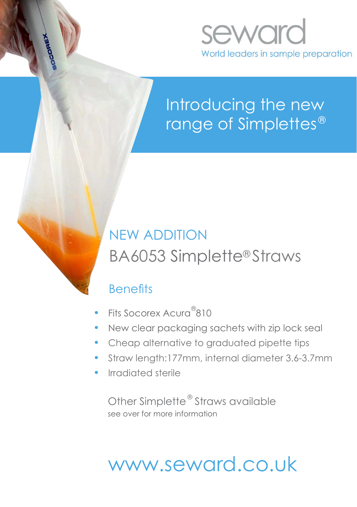

## Introducing the new range of Simplettes $^\circ$

## NEW ADDITION BA6053 Simplette®Straws

#### **Benefits**

- Fits Socorex Acura<sup>®</sup>810
- New clear packaging sachets with zip lock seal
- Cheap alternative to graduated pipette tips
- Straw length:177mm, internal diameter 3.6-3.7mm
- Irradiated sterile

Other Simplette® Straws available see over for more information

# www.seward.co.uk